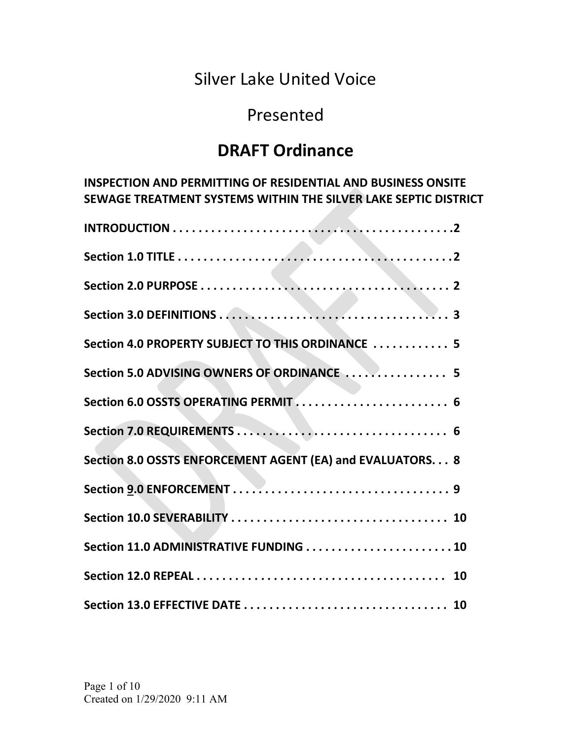# Silver Lake United Voice

# Presented

# DRAFT Ordinance

INSPECTION AND PERMITTING OF RESIDENTIAL AND BUSINESS ONSITE SEWAGE TREATMENT SYSTEMS WITHIN THE SILVER LAKE SEPTIC DISTRICT

| Section 4.0 PROPERTY SUBJECT TO THIS ORDINANCE  5          |
|------------------------------------------------------------|
| Section 5.0 ADVISING OWNERS OF ORDINANCE  5                |
| Section 6.0 OSSTS OPERATING PERMIT 6                       |
|                                                            |
| Section 8.0 OSSTS ENFORCEMENT AGENT (EA) and EVALUATORS. 8 |
|                                                            |
|                                                            |
| Section 11.0 ADMINISTRATIVE FUNDING  10                    |
|                                                            |
|                                                            |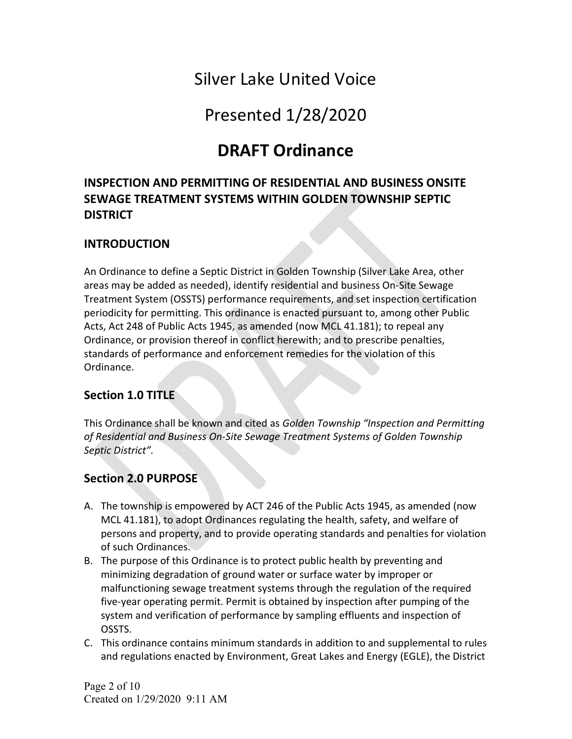# Silver Lake United Voice

Presented 1/28/2020

# DRAFT Ordinance

# INSPECTION AND PERMITTING OF RESIDENTIAL AND BUSINESS ONSITE SEWAGE TREATMENT SYSTEMS WITHIN GOLDEN TOWNSHIP SEPTIC **DISTRICT**

### INTRODUCTION

An Ordinance to define a Septic District in Golden Township (Silver Lake Area, other areas may be added as needed), identify residential and business On-Site Sewage Treatment System (OSSTS) performance requirements, and set inspection certification periodicity for permitting. This ordinance is enacted pursuant to, among other Public Acts, Act 248 of Public Acts 1945, as amended (now MCL 41.181); to repeal any Ordinance, or provision thereof in conflict herewith; and to prescribe penalties, standards of performance and enforcement remedies for the violation of this Ordinance.

#### Section 1.0 TITLE

This Ordinance shall be known and cited as Golden Township "Inspection and Permitting of Residential and Business On-Site Sewage Treatment Systems of Golden Township Septic District".

## Section 2.0 PURPOSE

- A. The township is empowered by ACT 246 of the Public Acts 1945, as amended (now MCL 41.181), to adopt Ordinances regulating the health, safety, and welfare of persons and property, and to provide operating standards and penalties for violation of such Ordinances.
- B. The purpose of this Ordinance is to protect public health by preventing and minimizing degradation of ground water or surface water by improper or malfunctioning sewage treatment systems through the regulation of the required five-year operating permit. Permit is obtained by inspection after pumping of the system and verification of performance by sampling effluents and inspection of OSSTS.
- C. This ordinance contains minimum standards in addition to and supplemental to rules and regulations enacted by Environment, Great Lakes and Energy (EGLE), the District

Page 2 of 10 Created on 1/29/2020 9:11 AM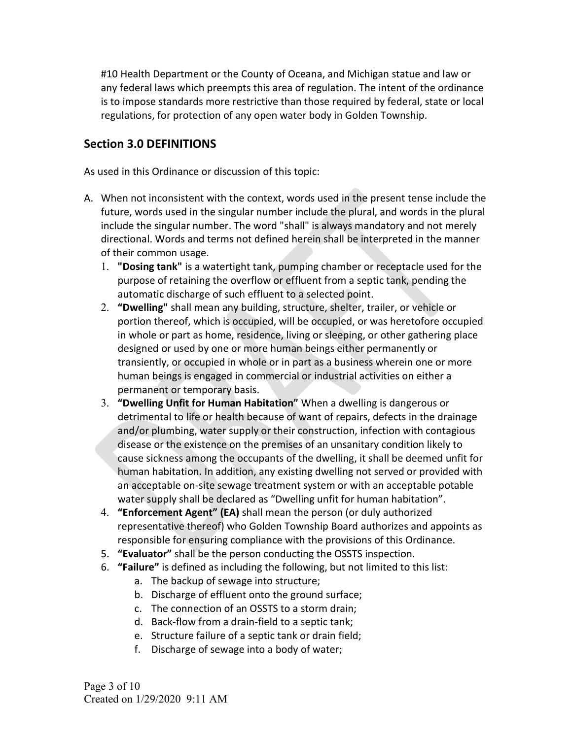#10 Health Department or the County of Oceana, and Michigan statue and law or any federal laws which preempts this area of regulation. The intent of the ordinance is to impose standards more restrictive than those required by federal, state or local regulations, for protection of any open water body in Golden Township.

#### Section 3.0 DEFINITIONS

As used in this Ordinance or discussion of this topic:

- A. When not inconsistent with the context, words used in the present tense include the future, words used in the singular number include the plural, and words in the plural include the singular number. The word "shall" is always mandatory and not merely directional. Words and terms not defined herein shall be interpreted in the manner of their common usage.
	- 1. "Dosing tank" is a watertight tank, pumping chamber or receptacle used for the purpose of retaining the overflow or effluent from a septic tank, pending the automatic discharge of such effluent to a selected point.
	- 2. "Dwelling" shall mean any building, structure, shelter, trailer, or vehicle or portion thereof, which is occupied, will be occupied, or was heretofore occupied in whole or part as home, residence, living or sleeping, or other gathering place designed or used by one or more human beings either permanently or transiently, or occupied in whole or in part as a business wherein one or more human beings is engaged in commercial or industrial activities on either a permanent or temporary basis.
	- 3. "Dwelling Unfit for Human Habitation" When a dwelling is dangerous or detrimental to life or health because of want of repairs, defects in the drainage and/or plumbing, water supply or their construction, infection with contagious disease or the existence on the premises of an unsanitary condition likely to cause sickness among the occupants of the dwelling, it shall be deemed unfit for human habitation. In addition, any existing dwelling not served or provided with an acceptable on-site sewage treatment system or with an acceptable potable water supply shall be declared as "Dwelling unfit for human habitation".
	- 4. "Enforcement Agent" (EA) shall mean the person (or duly authorized representative thereof) who Golden Township Board authorizes and appoints as responsible for ensuring compliance with the provisions of this Ordinance.
	- 5. "Evaluator" shall be the person conducting the OSSTS inspection.
	- 6. "Failure" is defined as including the following, but not limited to this list:
		- a. The backup of sewage into structure;
		- b. Discharge of effluent onto the ground surface;
		- c. The connection of an OSSTS to a storm drain;
		- d. Back-flow from a drain-field to a septic tank;
		- e. Structure failure of a septic tank or drain field;
		- f. Discharge of sewage into a body of water;

Page 3 of 10 Created on 1/29/2020 9:11 AM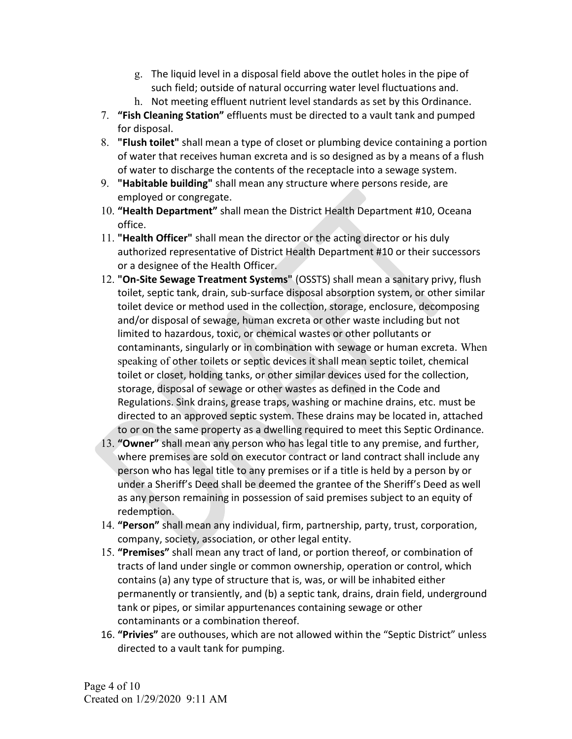- g. The liquid level in a disposal field above the outlet holes in the pipe of such field; outside of natural occurring water level fluctuations and.
- h. Not meeting effluent nutrient level standards as set by this Ordinance.
- 7. "Fish Cleaning Station" effluents must be directed to a vault tank and pumped for disposal.
- 8. "Flush toilet" shall mean a type of closet or plumbing device containing a portion of water that receives human excreta and is so designed as by a means of a flush of water to discharge the contents of the receptacle into a sewage system.
- 9. "Habitable building" shall mean any structure where persons reside, are employed or congregate.
- 10. "Health Department" shall mean the District Health Department #10, Oceana office.
- 11. "Health Officer" shall mean the director or the acting director or his duly authorized representative of District Health Department #10 or their successors or a designee of the Health Officer.
- 12. "On-Site Sewage Treatment Systems" (OSSTS) shall mean a sanitary privy, flush toilet, septic tank, drain, sub-surface disposal absorption system, or other similar toilet device or method used in the collection, storage, enclosure, decomposing and/or disposal of sewage, human excreta or other waste including but not limited to hazardous, toxic, or chemical wastes or other pollutants or contaminants, singularly or in combination with sewage or human excreta. When speaking of other toilets or septic devices it shall mean septic toilet, chemical toilet or closet, holding tanks, or other similar devices used for the collection, storage, disposal of sewage or other wastes as defined in the Code and Regulations. Sink drains, grease traps, washing or machine drains, etc. must be directed to an approved septic system. These drains may be located in, attached to or on the same property as a dwelling required to meet this Septic Ordinance.
- 13. "Owner" shall mean any person who has legal title to any premise, and further, where premises are sold on executor contract or land contract shall include any person who has legal title to any premises or if a title is held by a person by or under a Sheriff's Deed shall be deemed the grantee of the Sheriff's Deed as well as any person remaining in possession of said premises subject to an equity of redemption.
- 14. "Person" shall mean any individual, firm, partnership, party, trust, corporation, company, society, association, or other legal entity.
- 15. "Premises" shall mean any tract of land, or portion thereof, or combination of tracts of land under single or common ownership, operation or control, which contains (a) any type of structure that is, was, or will be inhabited either permanently or transiently, and (b) a septic tank, drains, drain field, underground tank or pipes, or similar appurtenances containing sewage or other contaminants or a combination thereof.
- 16. "Privies" are outhouses, which are not allowed within the "Septic District" unless directed to a vault tank for pumping.

Page 4 of 10 Created on 1/29/2020 9:11 AM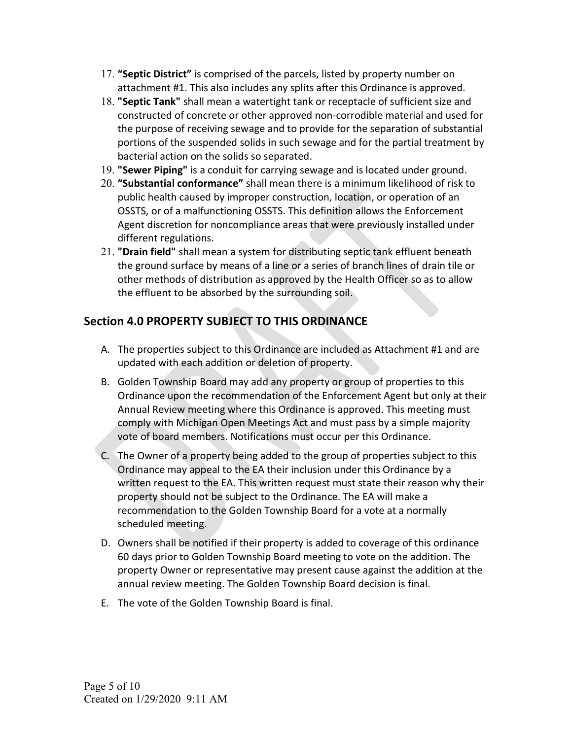- 17. "Septic District" is comprised of the parcels, listed by property number on attachment #1. This also includes any splits after this Ordinance is approved.
- 18. "Septic Tank" shall mean a watertight tank or receptacle of sufficient size and constructed of concrete or other approved non-corrodible material and used for the purpose of receiving sewage and to provide for the separation of substantial portions of the suspended solids in such sewage and for the partial treatment by bacterial action on the solids so separated.
- 19. "Sewer Piping" is a conduit for carrying sewage and is located under ground.
- 20. "Substantial conformance" shall mean there is a minimum likelihood of risk to public health caused by improper construction, location, or operation of an OSSTS, or of a malfunctioning OSSTS. This definition allows the Enforcement Agent discretion for noncompliance areas that were previously installed under different regulations.
- 21. "Drain field" shall mean a system for distributing septic tank effluent beneath the ground surface by means of a line or a series of branch lines of drain tile or other methods of distribution as approved by the Health Officer so as to allow the effluent to be absorbed by the surrounding soil.

# Section 4.0 PROPERTY SUBJECT TO THIS ORDINANCE

- A. The properties subject to this Ordinance are included as Attachment #1 and are updated with each addition or deletion of property.
- B. Golden Township Board may add any property or group of properties to this Ordinance upon the recommendation of the Enforcement Agent but only at their Annual Review meeting where this Ordinance is approved. This meeting must comply with Michigan Open Meetings Act and must pass by a simple majority vote of board members. Notifications must occur per this Ordinance.
- C. The Owner of a property being added to the group of properties subject to this Ordinance may appeal to the EA their inclusion under this Ordinance by a written request to the EA. This written request must state their reason why their property should not be subject to the Ordinance. The EA will make a recommendation to the Golden Township Board for a vote at a normally scheduled meeting.
- D. Owners shall be notified if their property is added to coverage of this ordinance 60 days prior to Golden Township Board meeting to vote on the addition. The property Owner or representative may present cause against the addition at the annual review meeting. The Golden Township Board decision is final.
- E. The vote of the Golden Township Board is final.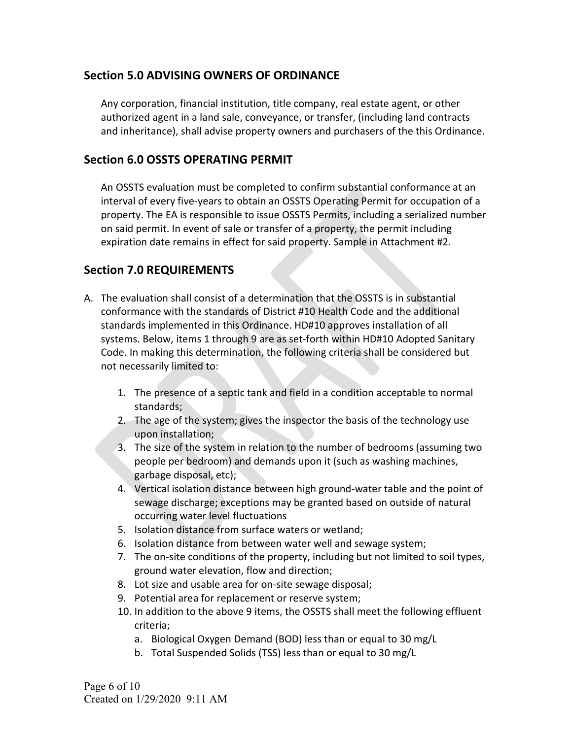### Section 5.0 ADVISING OWNERS OF ORDINANCE

Any corporation, financial institution, title company, real estate agent, or other authorized agent in a land sale, conveyance, or transfer, (including land contracts and inheritance), shall advise property owners and purchasers of the this Ordinance.

#### Section 6.0 OSSTS OPERATING PERMIT

An OSSTS evaluation must be completed to confirm substantial conformance at an interval of every five-years to obtain an OSSTS Operating Permit for occupation of a property. The EA is responsible to issue OSSTS Permits, including a serialized number on said permit. In event of sale or transfer of a property, the permit including expiration date remains in effect for said property. Sample in Attachment #2.

## Section 7.0 REQUIREMENTS

- A. The evaluation shall consist of a determination that the OSSTS is in substantial conformance with the standards of District #10 Health Code and the additional standards implemented in this Ordinance. HD#10 approves installation of all systems. Below, items 1 through 9 are as set-forth within HD#10 Adopted Sanitary Code. In making this determination, the following criteria shall be considered but not necessarily limited to:
	- 1. The presence of a septic tank and field in a condition acceptable to normal standards;
	- 2. The age of the system; gives the inspector the basis of the technology use upon installation;
	- 3. The size of the system in relation to the number of bedrooms (assuming two people per bedroom) and demands upon it (such as washing machines, garbage disposal, etc);
	- 4. Vertical isolation distance between high ground-water table and the point of sewage discharge; exceptions may be granted based on outside of natural occurring water level fluctuations
	- 5. Isolation distance from surface waters or wetland;
	- 6. Isolation distance from between water well and sewage system;
	- 7. The on-site conditions of the property, including but not limited to soil types, ground water elevation, flow and direction;
	- 8. Lot size and usable area for on-site sewage disposal;
	- 9. Potential area for replacement or reserve system;
	- 10. In addition to the above 9 items, the OSSTS shall meet the following effluent criteria;
		- a. Biological Oxygen Demand (BOD) less than or equal to 30 mg/L
		- b. Total Suspended Solids (TSS) less than or equal to 30 mg/L

Page 6 of 10 Created on 1/29/2020 9:11 AM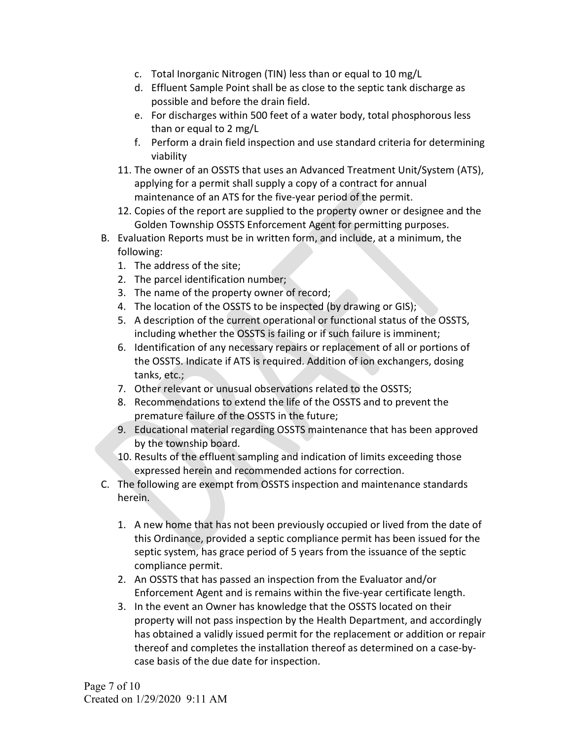- c. Total Inorganic Nitrogen (TIN) less than or equal to 10 mg/L
- d. Effluent Sample Point shall be as close to the septic tank discharge as possible and before the drain field.
- e. For discharges within 500 feet of a water body, total phosphorous less than or equal to 2 mg/L
- f. Perform a drain field inspection and use standard criteria for determining viability
- 11. The owner of an OSSTS that uses an Advanced Treatment Unit/System (ATS), applying for a permit shall supply a copy of a contract for annual maintenance of an ATS for the five-year period of the permit.
- 12. Copies of the report are supplied to the property owner or designee and the Golden Township OSSTS Enforcement Agent for permitting purposes.
- B. Evaluation Reports must be in written form, and include, at a minimum, the following:
	- 1. The address of the site;
	- 2. The parcel identification number;
	- 3. The name of the property owner of record;
	- 4. The location of the OSSTS to be inspected (by drawing or GIS);
	- 5. A description of the current operational or functional status of the OSSTS, including whether the OSSTS is failing or if such failure is imminent;
	- 6. Identification of any necessary repairs or replacement of all or portions of the OSSTS. Indicate if ATS is required. Addition of ion exchangers, dosing tanks, etc.;
	- 7. Other relevant or unusual observations related to the OSSTS;
	- 8. Recommendations to extend the life of the OSSTS and to prevent the premature failure of the OSSTS in the future;
	- 9. Educational material regarding OSSTS maintenance that has been approved by the township board.
	- 10. Results of the effluent sampling and indication of limits exceeding those expressed herein and recommended actions for correction.
- C. The following are exempt from OSSTS inspection and maintenance standards herein.
	- 1. A new home that has not been previously occupied or lived from the date of this Ordinance, provided a septic compliance permit has been issued for the septic system, has grace period of 5 years from the issuance of the septic compliance permit.
	- 2. An OSSTS that has passed an inspection from the Evaluator and/or Enforcement Agent and is remains within the five-year certificate length.
	- 3. In the event an Owner has knowledge that the OSSTS located on their property will not pass inspection by the Health Department, and accordingly has obtained a validly issued permit for the replacement or addition or repair thereof and completes the installation thereof as determined on a case-bycase basis of the due date for inspection.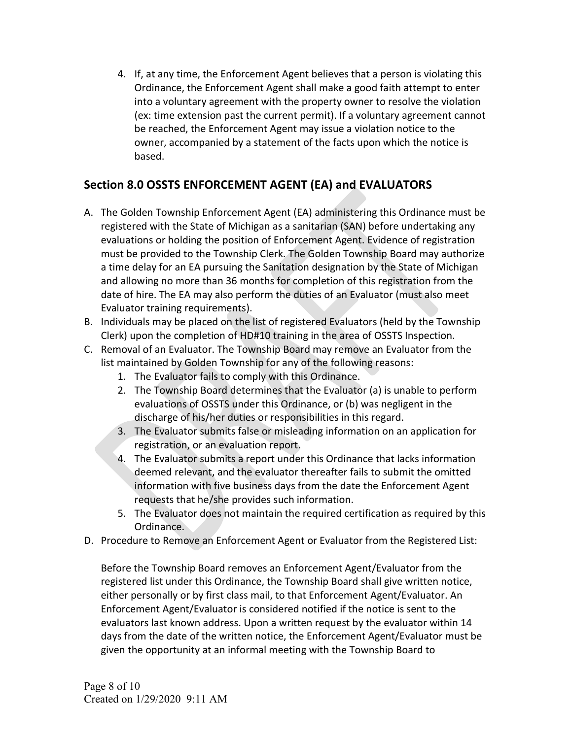4. If, at any time, the Enforcement Agent believes that a person is violating this Ordinance, the Enforcement Agent shall make a good faith attempt to enter into a voluntary agreement with the property owner to resolve the violation (ex: time extension past the current permit). If a voluntary agreement cannot be reached, the Enforcement Agent may issue a violation notice to the owner, accompanied by a statement of the facts upon which the notice is based.

## Section 8.0 OSSTS ENFORCEMENT AGENT (EA) and EVALUATORS

- A. The Golden Township Enforcement Agent (EA) administering this Ordinance must be registered with the State of Michigan as a sanitarian (SAN) before undertaking any evaluations or holding the position of Enforcement Agent. Evidence of registration must be provided to the Township Clerk. The Golden Township Board may authorize a time delay for an EA pursuing the Sanitation designation by the State of Michigan and allowing no more than 36 months for completion of this registration from the date of hire. The EA may also perform the duties of an Evaluator (must also meet Evaluator training requirements).
- B. Individuals may be placed on the list of registered Evaluators (held by the Township Clerk) upon the completion of HD#10 training in the area of OSSTS Inspection.
- C. Removal of an Evaluator. The Township Board may remove an Evaluator from the list maintained by Golden Township for any of the following reasons:
	- 1. The Evaluator fails to comply with this Ordinance.
	- 2. The Township Board determines that the Evaluator (a) is unable to perform evaluations of OSSTS under this Ordinance, or (b) was negligent in the discharge of his/her duties or responsibilities in this regard.
	- 3. The Evaluator submits false or misleading information on an application for registration, or an evaluation report.
	- 4. The Evaluator submits a report under this Ordinance that lacks information deemed relevant, and the evaluator thereafter fails to submit the omitted information with five business days from the date the Enforcement Agent requests that he/she provides such information.
	- 5. The Evaluator does not maintain the required certification as required by this Ordinance.
- D. Procedure to Remove an Enforcement Agent or Evaluator from the Registered List:

Before the Township Board removes an Enforcement Agent/Evaluator from the registered list under this Ordinance, the Township Board shall give written notice, either personally or by first class mail, to that Enforcement Agent/Evaluator. An Enforcement Agent/Evaluator is considered notified if the notice is sent to the evaluators last known address. Upon a written request by the evaluator within 14 days from the date of the written notice, the Enforcement Agent/Evaluator must be given the opportunity at an informal meeting with the Township Board to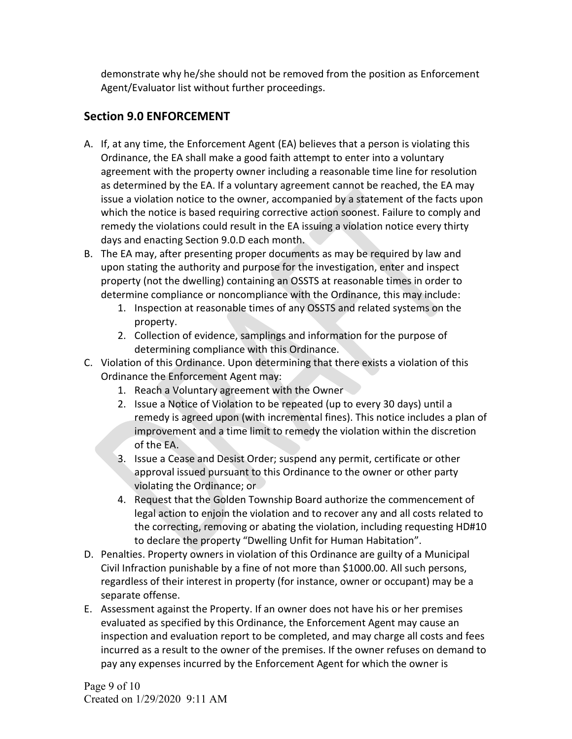demonstrate why he/she should not be removed from the position as Enforcement Agent/Evaluator list without further proceedings.

### Section 9.0 ENFORCEMENT

- A. If, at any time, the Enforcement Agent (EA) believes that a person is violating this Ordinance, the EA shall make a good faith attempt to enter into a voluntary agreement with the property owner including a reasonable time line for resolution as determined by the EA. If a voluntary agreement cannot be reached, the EA may issue a violation notice to the owner, accompanied by a statement of the facts upon which the notice is based requiring corrective action soonest. Failure to comply and remedy the violations could result in the EA issuing a violation notice every thirty days and enacting Section 9.0.D each month.
- B. The EA may, after presenting proper documents as may be required by law and upon stating the authority and purpose for the investigation, enter and inspect property (not the dwelling) containing an OSSTS at reasonable times in order to determine compliance or noncompliance with the Ordinance, this may include:
	- 1. Inspection at reasonable times of any OSSTS and related systems on the property.
	- 2. Collection of evidence, samplings and information for the purpose of determining compliance with this Ordinance.
- C. Violation of this Ordinance. Upon determining that there exists a violation of this Ordinance the Enforcement Agent may:
	- 1. Reach a Voluntary agreement with the Owner
	- 2. Issue a Notice of Violation to be repeated (up to every 30 days) until a remedy is agreed upon (with incremental fines). This notice includes a plan of improvement and a time limit to remedy the violation within the discretion of the EA.
	- 3. Issue a Cease and Desist Order; suspend any permit, certificate or other approval issued pursuant to this Ordinance to the owner or other party violating the Ordinance; or
	- 4. Request that the Golden Township Board authorize the commencement of legal action to enjoin the violation and to recover any and all costs related to the correcting, removing or abating the violation, including requesting HD#10 to declare the property "Dwelling Unfit for Human Habitation".
- D. Penalties. Property owners in violation of this Ordinance are guilty of a Municipal Civil Infraction punishable by a fine of not more than \$1000.00. All such persons, regardless of their interest in property (for instance, owner or occupant) may be a separate offense.
- E. Assessment against the Property. If an owner does not have his or her premises evaluated as specified by this Ordinance, the Enforcement Agent may cause an inspection and evaluation report to be completed, and may charge all costs and fees incurred as a result to the owner of the premises. If the owner refuses on demand to pay any expenses incurred by the Enforcement Agent for which the owner is

Page 9 of 10 Created on 1/29/2020 9:11 AM